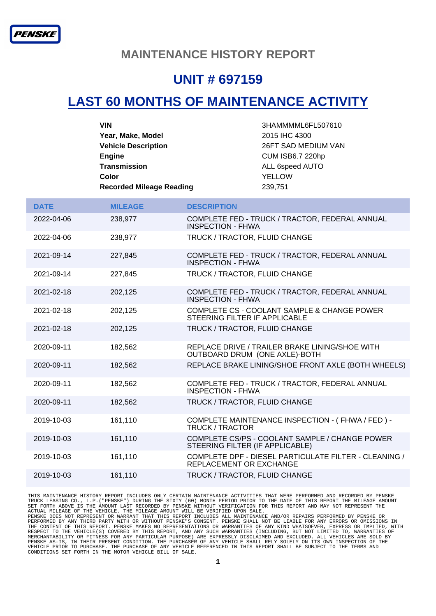#### **MAINTENANCE HISTORY REPORT**

### **UNIT # 697159**

# **LAST 60 MONTHS OF MAINTENANCE ACTIVITY**

| <b>VIN</b>                      | 3HAMMMML6FL507610       |
|---------------------------------|-------------------------|
| Year, Make, Model               | 2015 IHC 4300           |
| <b>Vehicle Description</b>      | 26FT SAD MEDIUM VAN     |
| <b>Engine</b>                   | <b>CUM ISB6.7 220hp</b> |
| <b>Transmission</b>             | ALL 6speed AUTO         |
| Color                           | <b>YELLOW</b>           |
| <b>Recorded Mileage Reading</b> | 239,751                 |

| <b>DATE</b> | <b>MILEAGE</b> | <b>DESCRIPTION</b>                                                                |
|-------------|----------------|-----------------------------------------------------------------------------------|
| 2022-04-06  | 238,977        | COMPLETE FED - TRUCK / TRACTOR, FEDERAL ANNUAL<br><b>INSPECTION - FHWA</b>        |
| 2022-04-06  | 238,977        | TRUCK / TRACTOR, FLUID CHANGE                                                     |
| 2021-09-14  | 227,845        | COMPLETE FED - TRUCK / TRACTOR, FEDERAL ANNUAL<br><b>INSPECTION - FHWA</b>        |
| 2021-09-14  | 227,845        | TRUCK / TRACTOR, FLUID CHANGE                                                     |
| 2021-02-18  | 202,125        | COMPLETE FED - TRUCK / TRACTOR, FEDERAL ANNUAL<br><b>INSPECTION - FHWA</b>        |
| 2021-02-18  | 202,125        | COMPLETE CS - COOLANT SAMPLE & CHANGE POWER<br>STEERING FILTER IF APPLICABLE      |
| 2021-02-18  | 202,125        | TRUCK / TRACTOR, FLUID CHANGE                                                     |
| 2020-09-11  | 182,562        | REPLACE DRIVE / TRAILER BRAKE LINING/SHOE WITH<br>OUTBOARD DRUM (ONE AXLE)-BOTH   |
| 2020-09-11  | 182,562        | REPLACE BRAKE LINING/SHOE FRONT AXLE (BOTH WHEELS)                                |
| 2020-09-11  | 182,562        | COMPLETE FED - TRUCK / TRACTOR, FEDERAL ANNUAL<br><b>INSPECTION - FHWA</b>        |
| 2020-09-11  | 182,562        | TRUCK / TRACTOR, FLUID CHANGE                                                     |
| 2019-10-03  | 161,110        | COMPLETE MAINTENANCE INSPECTION - (FHWA / FED) -<br><b>TRUCK / TRACTOR</b>        |
| 2019-10-03  | 161,110        | COMPLETE CS/PS - COOLANT SAMPLE / CHANGE POWER<br>STEERING FILTER (IF APPLICABLE) |
| 2019-10-03  | 161,110        | COMPLETE DPF - DIESEL PARTICULATE FILTER - CLEANING /<br>REPLACEMENT OR EXCHANGE  |
| 2019-10-03  | 161,110        | TRUCK / TRACTOR, FLUID CHANGE                                                     |

THIS MAINTENANCE HISTORY REPORT INCLUDES ONLY CERTAIN MAINTENANCE ACTIVITIES THAT WERE PERFORMED AND RECORDED BY PENSKE<br>TRUCK LEASING CO., L.P. ("PENSKE") DURING THE SIXTY (60) MONTH PERIOD PRIOR TO THE DATE OF THIS REPORT MERCHANTABILITY OR FITNESS FOR ANY PARTICULAR PURPOSE) ARE EXPRESSLY DISCLAIMED AND EXCLUDED. ALL VEHICLES ARE SOLD BY<br>PENSKE AS-IS, IN THEIR PRESENT CONDITION. THE PURCHASER OF ANY VEHICLE SHALL RELY SOLELY ON ITS OWN INS CONDITIONS SET FORTH IN THE MOTOR VEHICLE BILL OF SALE.